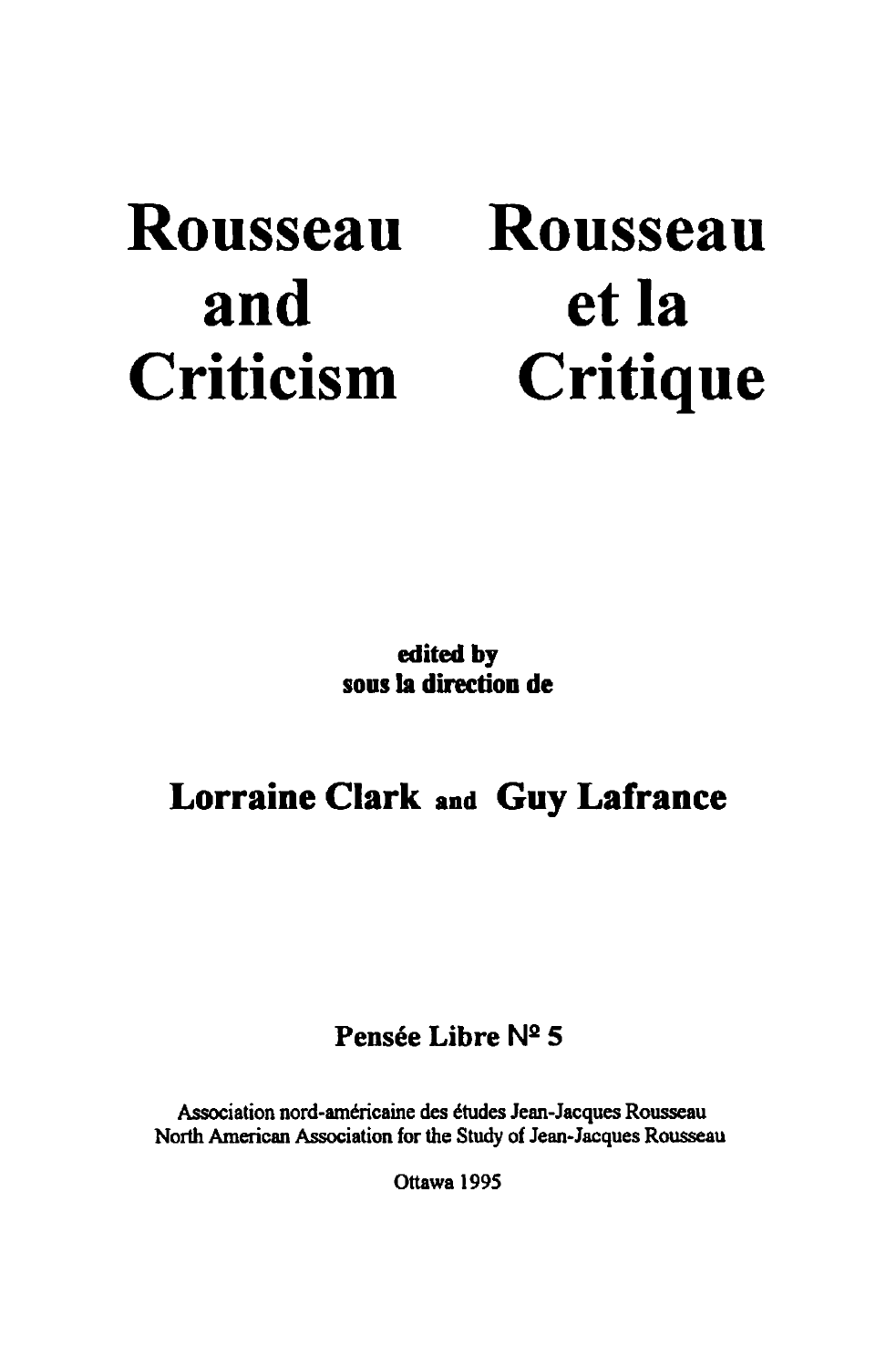# **Rousseau and Criticism**

# **Rousseau et la Critique**

**edited by sous la direction de** 

## **Lorraine Clark and Guy Lafrance**

### **Pensée Libre N2 5**

Association nord-américaine des études Jean-Jacques Rousseau North American Association for the Study of Jean-Jacques Rousseau

Ottawa 1995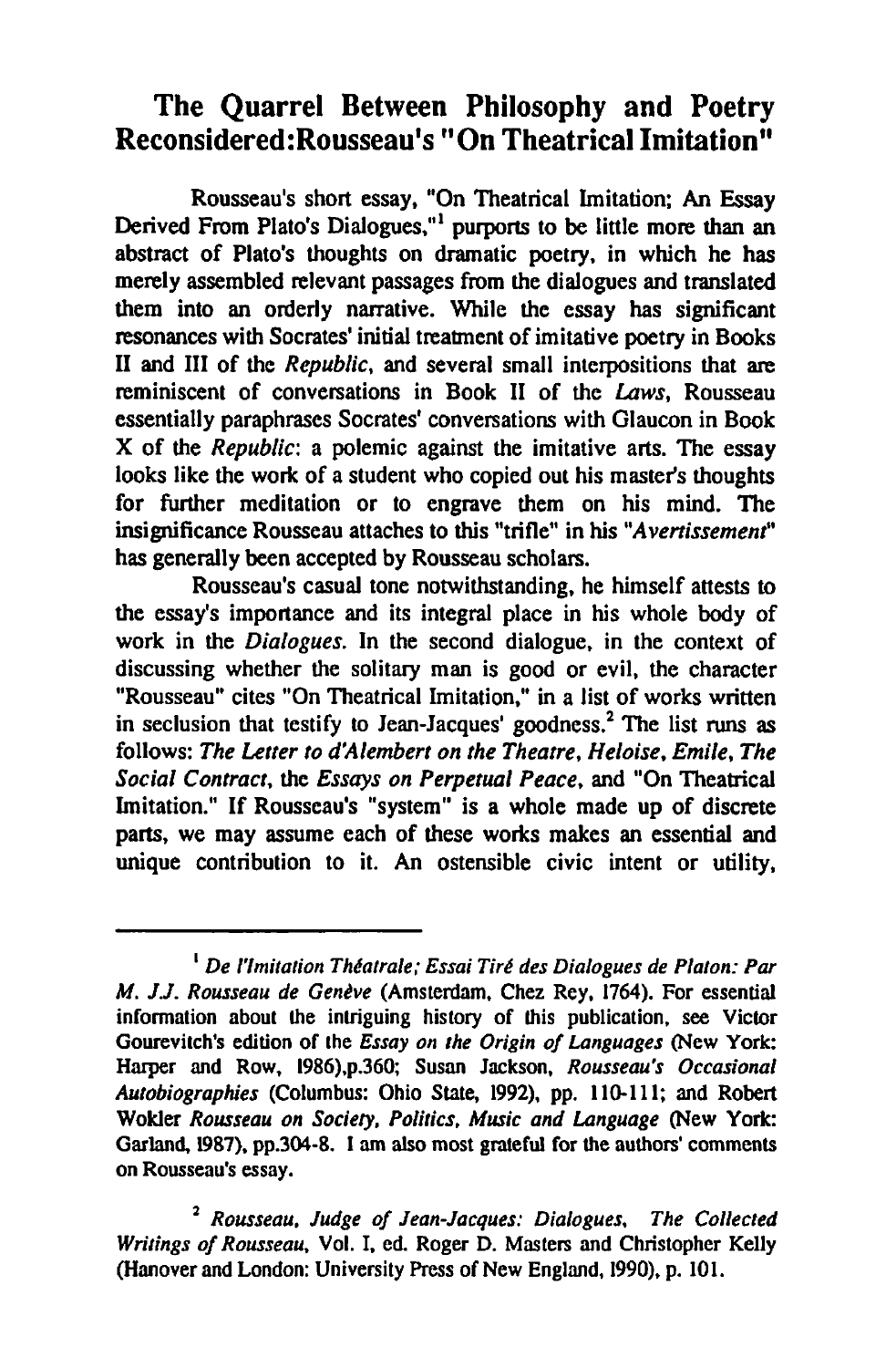### The Quarrel Between Philosophy and Poetry Reconsidered: Rousseau's "On Theatrical Imitation"

Rousseau's short essay, "On Theatrical Imitation; An Essay Derived From Plato's Dialogues,"<sup>1</sup> purports to be little more than an abstract of Plato's thoughts on dramatic poetry, in which he has merely assembled relevant passages from the dialogues and translated them into an orderly narrative. While the essay bas significant resonances with Socrates' initial treatment of imitative poetry in Books II and III of the *Republic,* and several small interpositions that are reminiscent of conversations in Book II of the Laws, Rousseau essentially paraphrases Socrates' conversations with Glaucon in Book X of the *Republic:* a polemic against the imitative arts. The essay looks like the work of a student who copied out his master's thoughts for further meditation or to engrave them on his mind. The insignificance Rousseau attaches to this "trifle" in his "Avertissement" has generally been accepted by Rousseau scholars.

Rousseau's casual tone notwithstanding, he himself attests to the essay's importance and its integral place in his whole body of work in the *Dialogues.* In the second dialogue. in the context of discussing whether the solitary man is good or evil, the character "Rousseau" cites "On Theatrical Imitation," in a list of works written in seclusion that testify to Jean-Jacques' goodness.<sup>2</sup> The list runs as follows: *The Letter to d'Alembert on the Theatre, Heloise. Emile, The Social Contract.* the *Essays on Perpetuai Peace,* and "On Theatrical Imitation." If Rousseau's "system" is a whole made up of discrete parts, we may assume each of these works makes an essential and unique contribution to it. An ostensible civic intent or utility,

<sup>&</sup>lt;sup>1</sup> De l'Imitation Théatrale; Essai Tiré des Dialogues de Platon: Par *M. J.J. Rousseau de Genève* (Amsterdam, Chez Rey, 1764). For essential information about the intriguing history of this publication, see Victor Gourevitch's edition of the *Essay on the Origin of Languages* (New York: Harper and Row. 1986),p.360; Susan Jackson, *Rousseau's Occasional Autobiographies* (Columbus: Ohio State, 1992), pp. 110-111; and Robert Wokler Rousseau on Society, Politics, Music and Language (New York: Garland, 1987), pp.304-8. 1 am aIso most grateful for the authors' comments on Rousseau's essay.

<sup>2</sup>*Rousseau, Judge of Jean-Jacques: Dialogues, The Collected Writings of Rousseau,* Vol. J. ed. Roger D. Masters and Christopher Kelly (Hanover and London: University Press of New England, 1990), p. 101.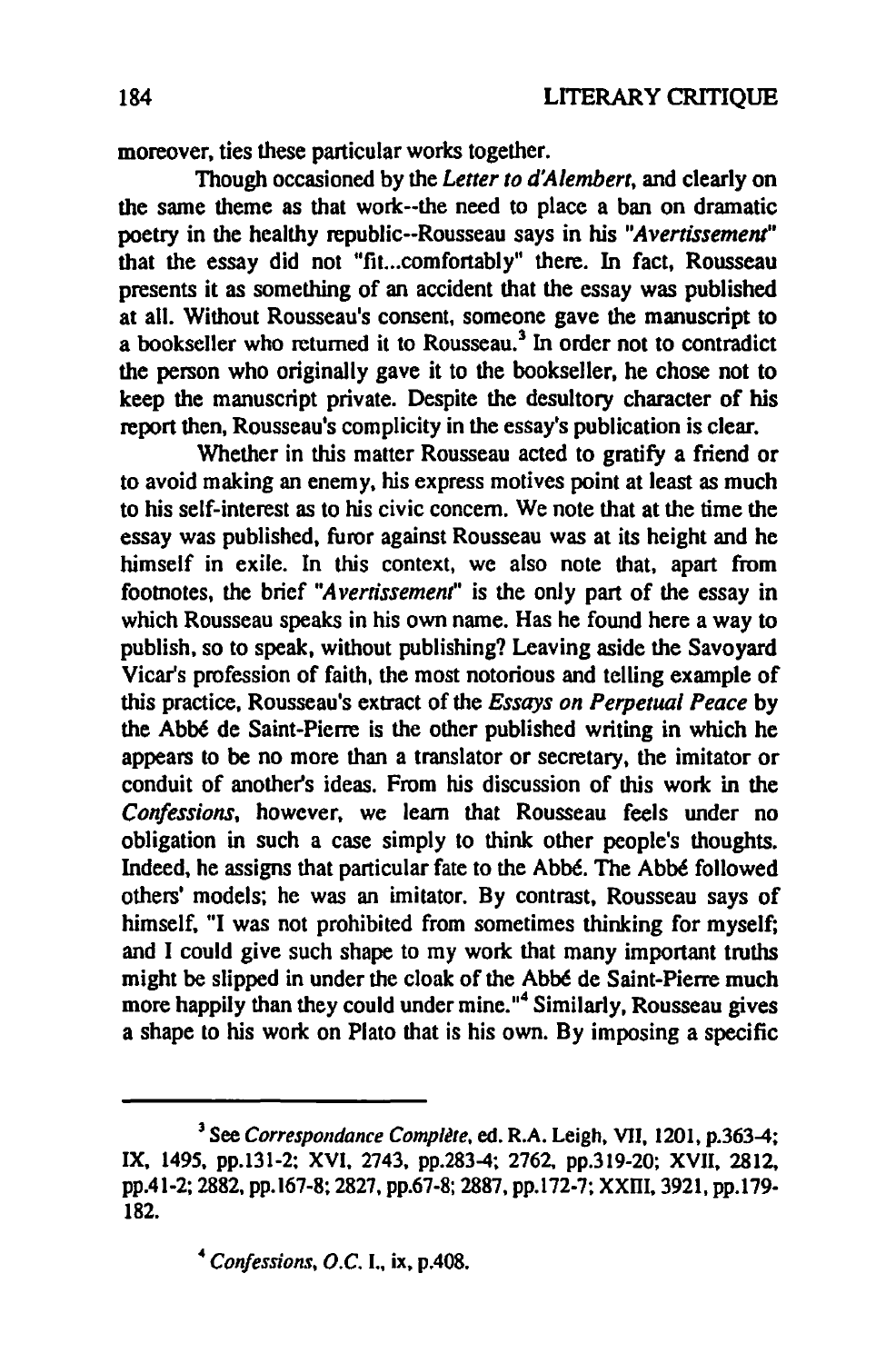moreover, ties these particular works together.

Though occasioned by the *Letter to d'Alembert,* and clearly on the same theme as that work--the need to place a ban on dramatic poetry in the healthy republic--Rousseau says in his "Avertissement" that the essay did not "fit...comfortably" there. In fact, Rousseau presents it as something of an accident that the essay was published at ail. Without Rousseau's consent, someone gave the manuscript to a bookseller who returned it to Rousseau.<sup>3</sup> In order not to contradict the person who originally gave it to the bookseller, he chose not to keep the manuscript private. Despite the desultory character of bis report then, Rousseau's complicity in the essay's publication is clear.

Whether in this matter Rousseau acted to gratify a friend or to avoid making an enemy, his express motives point at least as much to his self-interest as to his civic concem. We note that at the time the essay was published. furor against Rousseau was at its height and he himself in exile. In this context, we also note that, apart from footnotes, the brief *"A vernssement"* is the only part of the essay in which Rousseau speaks in his own name. Has he found here a way to publish. so to speak. without publishing? Leaving aside the Savoyard Vicar's profession of faith, the most notorious and telling ex ample of *this* practice, Rousseau's extract of the *Essays on Perpetuai Peace* by the Abbé de Saint-Pierre is the other published writing in which he appears to be no more than a translator or secretary, the imitator or conduit of another's ideas. From his discussion of this work in the *Confessions.* however, we learn that Rousseau feels under no obligation in such a case simply to think other people's thoughts. Indeed. he assigns that particular fate to the Abbé. The Abbé followed others' models; he was an imitator. By contrast, Rousseau says of himself. "1 was not prohibited from sometimes thinking for myself; and I could give such shape to my work that many important truths might he slipped in under the cloak of the Abbé de Saint-Pierre much more happily than they could under mine."<sup>4</sup> Similarly, Rousseau gives a shape to his work on Plato that is his own. By imposing a specific

<sup>&</sup>lt;sup>3</sup> See *Correspondance Complète*, ed. R.A. Leigh, VII, 1201, p.363-4; IX. 1495. pp.131-2: XVI. 2743. pp.283-4: 2762, pp.319-20: XVII. 2812. pp.41-2; 2882, pp. 167-8; 2827. pp.67-8; 2887, pp.l72-7: XXITI. 3921, pp.179- 182.

<sup>4</sup> *Confessions, O.C.* 1., ix. p.408.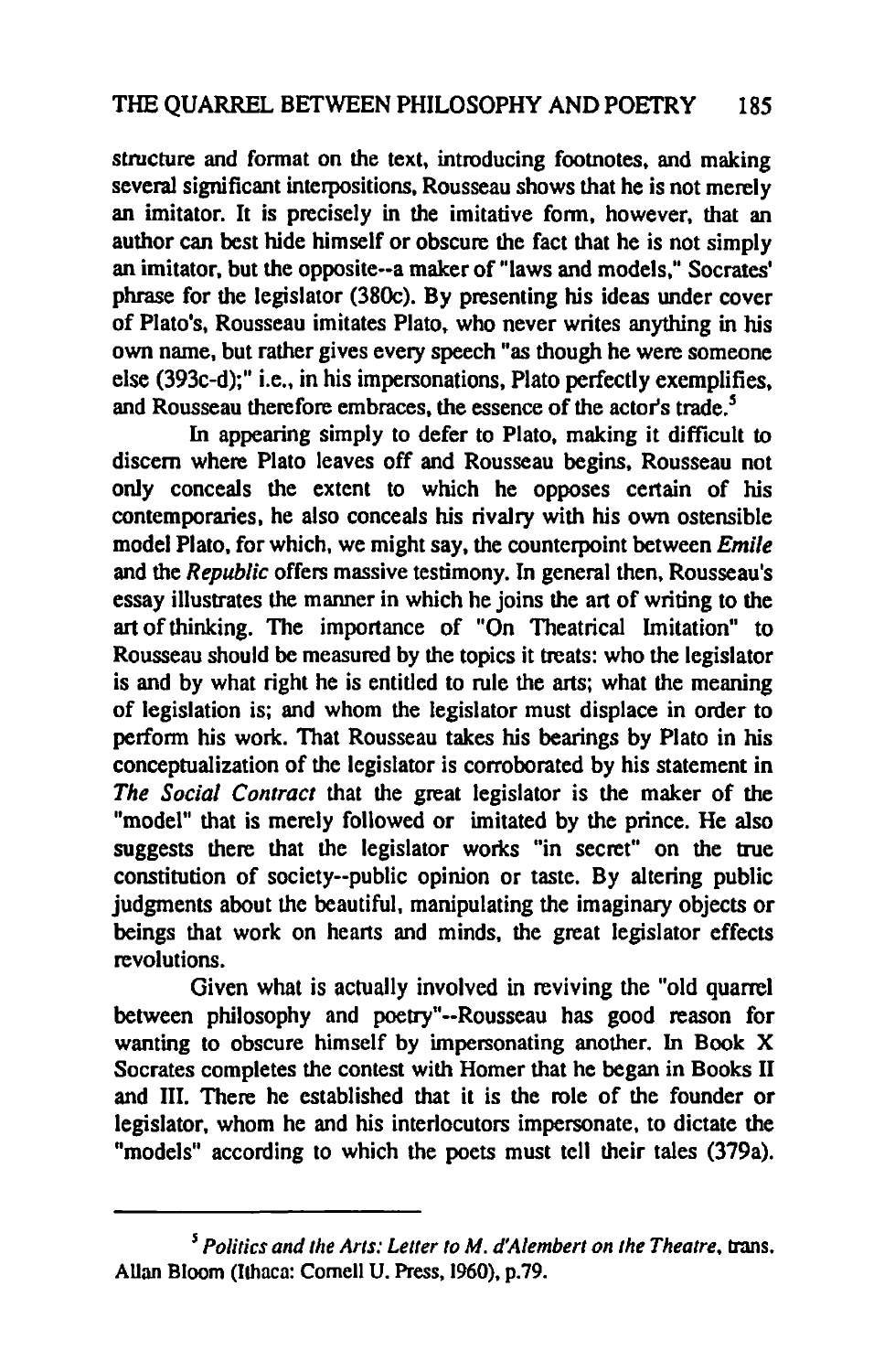structure and format on the text, introducing footnotes, and making several significant interpositions, Rousseau shows that he is not merely an imitator. It is precisely in the imitative fonn, however, that an author can best hide himself or obscure the fact that he is not simply an imitalor, but the opposite··a maker of "Iaws and models," Socrales' phrase for the legislator (38Oc). By presenting his ideas under coyer of Plato's, Rousseau imitates Plato. who never writes anything in his own name, but rather gives every speech "as though he were someone cise (393c·d);" i.e., in his impersonations. Plato perfectly exemplifies. and Rousseau therefore embraces, the essence of the actor's trade.<sup>5</sup>

In appearing simply to defer to Plato, making it difficult to discem where Plato leaves off and Rousseau begins. Rousseau not only conceals the extent to which he opposes certain of his contemporaries, he also conceals his rivalry with his own ostensible model Plato, for which, we might say, the counterpoint between *Emile*  and the *Republic* offers massive testimony. In general then, Rousseau's essay illustrates the manner in which he joins the art of writing to the art of thinking. The importance of "On Theatrical Imitation" to Rousseau should be measured by the topics it treats: who the legislator is and by what right he is entitled to rule the arts; what the meaning of legislation is; and whom the legislator must displace in order to perfonn his work. That Rousseau takes his bearings by Plato in his conceptualization of the legislator is corroborated by his statement in *The Social Contract* that the great legislator is the maker of the "model" that is merely followed or imitated by the prince. He also suggests there that the legislator works "in secret" on the true constitution of society--public opinion or taste. By altering public judgments about the beautiful, manipulating the imaginary objects or beings that work on hearts and minds, the great legislator effects revolutions.

Given what is actually involved in reviving the "old quarrel" between philosophy and poetry"·-Rousseau has good reason for wanting to obscure himself by impersonating another. In Book X Socrates completes the contest with Homer that he began in Books II and III. There he established that it is the role of the founder or legislator, whom he and his interlocutors impersonate. to dictate the "models" according to which the poets must tell their tales (379a).

*<sup>5</sup> Polities and the Arts: Letter to M. d'Alembert on the Theatre,* lrans. Allan Bloom (Ithaca: Comell U. Press, 1960), p.79.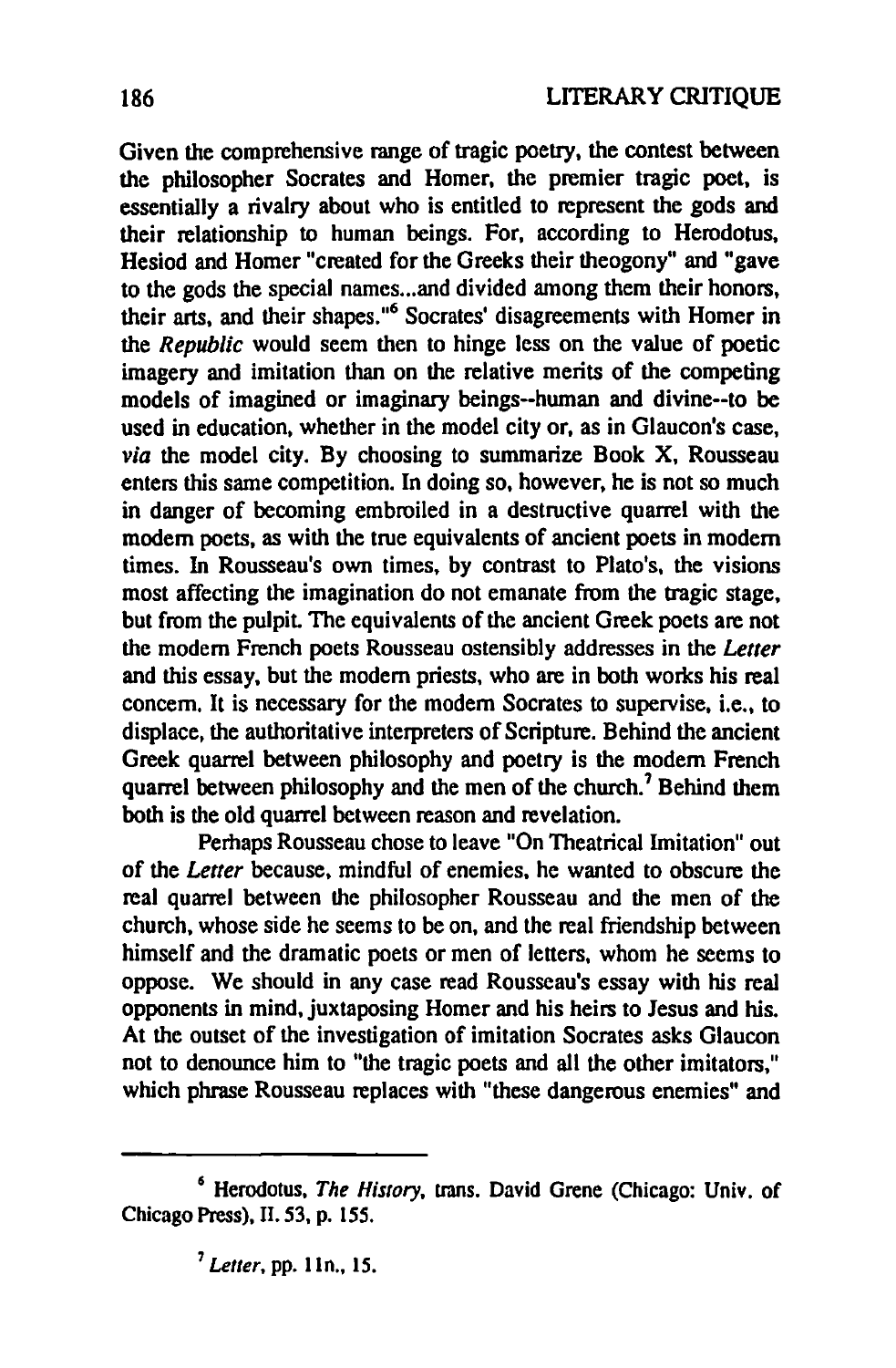Given the comprehensive range of tragic poetry, the contest between the philosopher Socrates and Homer, the premier tragic poet, is essentially a rivalry about who is entitled to represent the gods and their relationship ta human beings. For, according to Herodotus, Hesiod and Homer "created for the Greeks their theogony" and "gave to the gods the special names... and divided among them their honors, their arts, and their shapes."<sup>6</sup> Socrates' disagreements with Homer in the *Republic* would seem then to hinge less on the value of poetic imagery and imitation than on the relative merits of the competing models of imagined or imaginary beings--human and divine--to he used in education, whether in the model city or, as in Glaucon's case, *via* the model city. By choosing to summarize Book X, Rousseau enters this same competition. In doing so, however, he is not so much in danger of becoming embroiled in a destructive quarrel with the modem poets, as with the true equivalents of ancient poets in modern times. In Rousseau's own times, by contrast to Plato's. the visions most affecting the imagination do not emanate from the tragic stage, but from the pulpit. The equivalents of the ancient Greek poets are not the modern French poets Rousseau ostensibly addresses in the *Letter* and this essay, but the modern priests, who are in both works his real concem. It is necessary for the modem Socrates to supervise, i.e., to displace, the authoritative interpreters of Scripture. Behind the ancient Greek quarrel between philosophy and poetry is the modem French quarrel between philosophy and the men of the church.<sup>7</sup> Behind them bath is the old quarrel between reason and revelation.

Perhaps Rousseau chose to leave "On Theatrical Imitation" out of the *Letter* because, mindful of enemies, he wanted to obscure the real quarrel between the philosopher Rousseau and the men of the church, whose side he seems to be on, and the real friendship between himself and the dramatic poets or men of letters. whom he seems to oppose. We should in any case read Rousseau's essay with his real opponents in mind, juxtaposing Homer and his heirs to Jesus and his. At the outset of the investigation of imitation Socrates asks Glaucon not to denounce him to "the tragic poets and all the other imitators," which phrase Rousseau replaces with "these dangerous enemies" and

<sup>6</sup> Herodotus, *The Hislory.* trans. David Grene (Chicago: Univ. of Chicago Press), II. 53, p. 155.

<sup>&</sup>lt;sup>7</sup> Letter, pp. 11n., 15.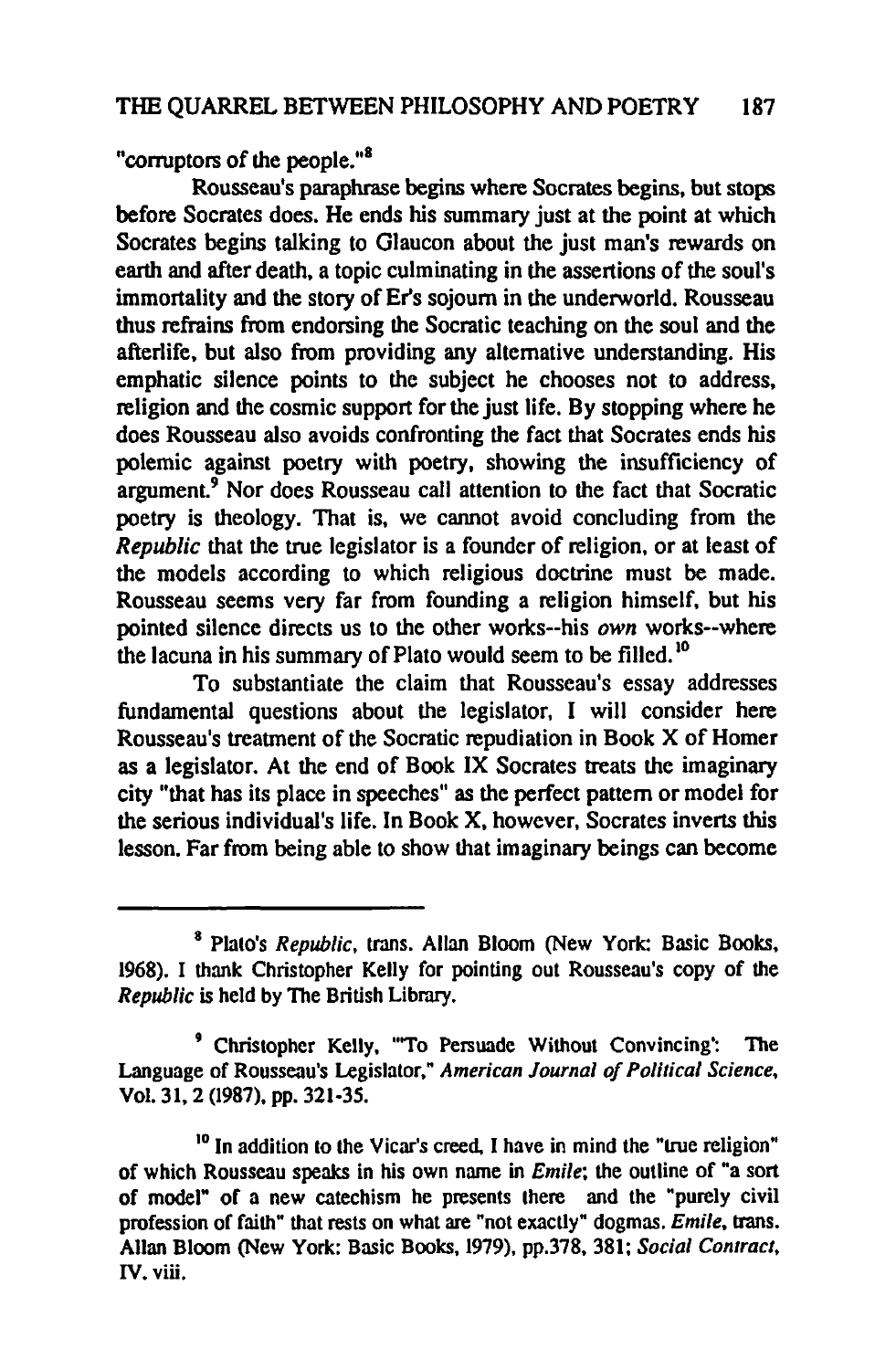"corruptors of the people."<sup>8</sup>

Rousseau's paraphrase begins where Socrates begins, but stops before Socrates does. He ends his summary just at the point at which Socrates begins talking to Glaucon about the just man's rewards on earth and after death, a topic culminating in the assertions of the soul's immortality and the story of Er's sojoum in the underworld. Rousseau thus refrains from endorsing the Socratic teaching on the soul and the afterlife, but also from providing any alternative understanding. His emphatic silence points to the subject he chooses not to address, religion and the cosmic support for the just life. By stopping where he does Rousseau also avoids confronting the fact that Socrates ends his polemic against poetry with poetry, showing the insufficiency of argument.<sup>9</sup> Nor does Rousseau call attention to the fact that Socratic poetry is theology. That is, we cannot avoid concluding from the *Republic* that the true legislator is a founder of religion, or at least of the models according to which religious doctrine must he made. Rousseau seems very far from founding a religion himself, but his pointed silence directs us to the other works--his *own* works--where the lacuna in his summary of Plato would seem to be filled.<sup>10</sup>

To substantiate the claim that Rousseau's essay addresses fundamental questions about the legislator, 1 will consider here Rousseau's treatment of the Socratic repudiation in Book X of Homer as a legislator. At the end of Book IX Socrates treats the imaginary city "that has ils place in speeches" as the perfect pattern or model for the serious individual's life. In Book X, however, Socrates inverts this lesson. Far from being able to show that imaginary beings can become

<sup>8</sup> Plato's *Republic,* trans. Allan Bloom (New York: Basic Books, 1968). I thank Christopher Kelly for pointing out Rousseau's copy of the *Republic* is held by The British Library.

<sup>9</sup> Christopher Kelly, "'To Persuade Without Convincing': The Language of Rousseau's Legislalor," *American Journal of Polilical Science,*  Vol. 31, 2 (1987), pp. 321-35.

 $10$  In addition to the Vicar's creed. I have in mind the "true religion" of which Rousseau speaks in his own name in *Emile*; the outline of "a sort of mode}" of a new catechism he presents there and the "purely civil profession of faith" that rests on what are "not exacUy" dogmas. *Emile,* trans. Allan Bloom (New York: Basic Books, 1979), pp.378, 381; *Social Contract,*  IV. viü.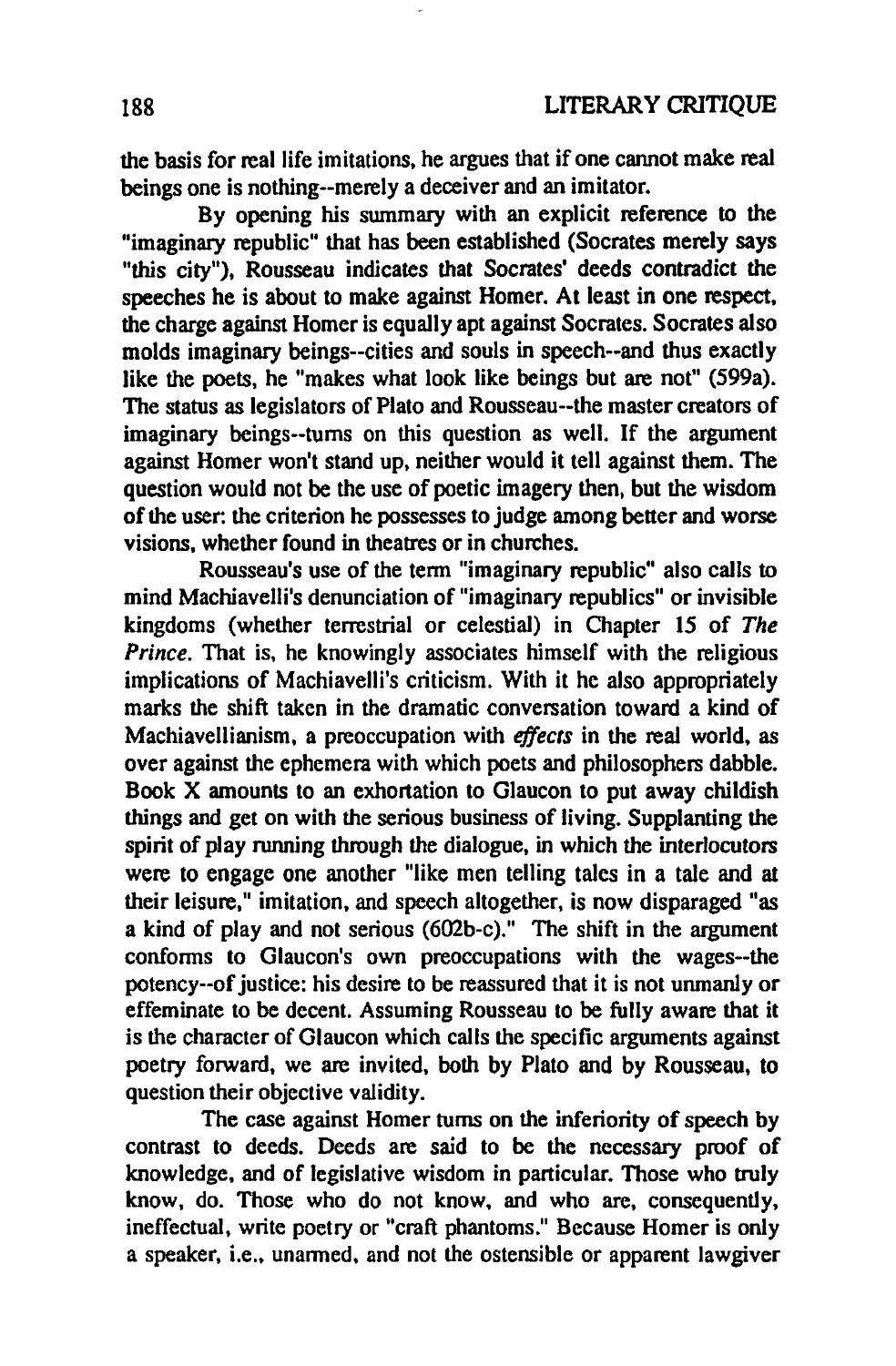the basis for real life imitations, he argues that if one cannot make real beings one is nothing--merely a deceiver and an imitator.

By opening his summary with an explicit reference to the "imaginary republic" that has been established (Socrates merely says "this city"). Rousseau indicates that Socrates' deeds contradict the speeches he is about to make against Homer. At least in one respect, the charge against Homer is equally apt against Socrates. Socrates aIso molds imaginary beings--cities and souls in speech--and thus exactly like the poets, he "makes what look like beings but are not" (599a). The status as legislators of Plato and Rousseau--the master creators of imaginary beings--tums on this question as weil. If the argument against Homer won't stand up. neither would it tell against them. The question would not be the use of poetic imagery then, but the wisdom of the user: the criterion he possesses to judge among better and worse visions, whether found in theatres or in churches.

Rousseau's use of the term "imaginary republic" aIso calls to mind Machiavelli's denunciation of "imaginary republics" or invisible kingdoms (whether terrestrial or celestial) in Chapter 15 of *The Prince*. That is, he knowingly associates himself with the religious implications of Machiavelli's criticism. With it he also appropriately marks the shift taken in the dramatic conversation toward a kind of Macbiavellianism, a preoccupation with *effects* in the reaI world, as over against the ephemera with which poets and philosophers dabble. Book X amounts to an exhortation to G1aucon 10 put away childish things and get on with the serious business of living. Supplanting the spirit of play running through the dialogue. in which the interlocutors were to engage one another "like men telling tales in a tale and at their leisure." imitation. and speech altogether, is now disparaged "as a kind of play and not serious (602b-c)." The shift in the argument conforms to G1aucon's own preoccupations with the wages--the potency--of justice: his desire to be reassured that it is not unmanly or effeminate to be decent. Assuming Rousseau to be fully aware that il is the character of G1aucon which calls the specifie arguments against poetry forward. we are invited. both by Plato and by Rousseau. to question their objective validity.

The case against Homer tums on the inferiority of speech by contrast to deeds. Deeds are said to he the necessary pmof of knowledge, and of legislative wisdom in particular. Those who truly know, do. Those who do not know, and who are, consequently, ineffectual. write poetry or "craft phantoms." Because Homer is only a speaker, i.e., unarmed. and not the ostensible or apparent lawgiver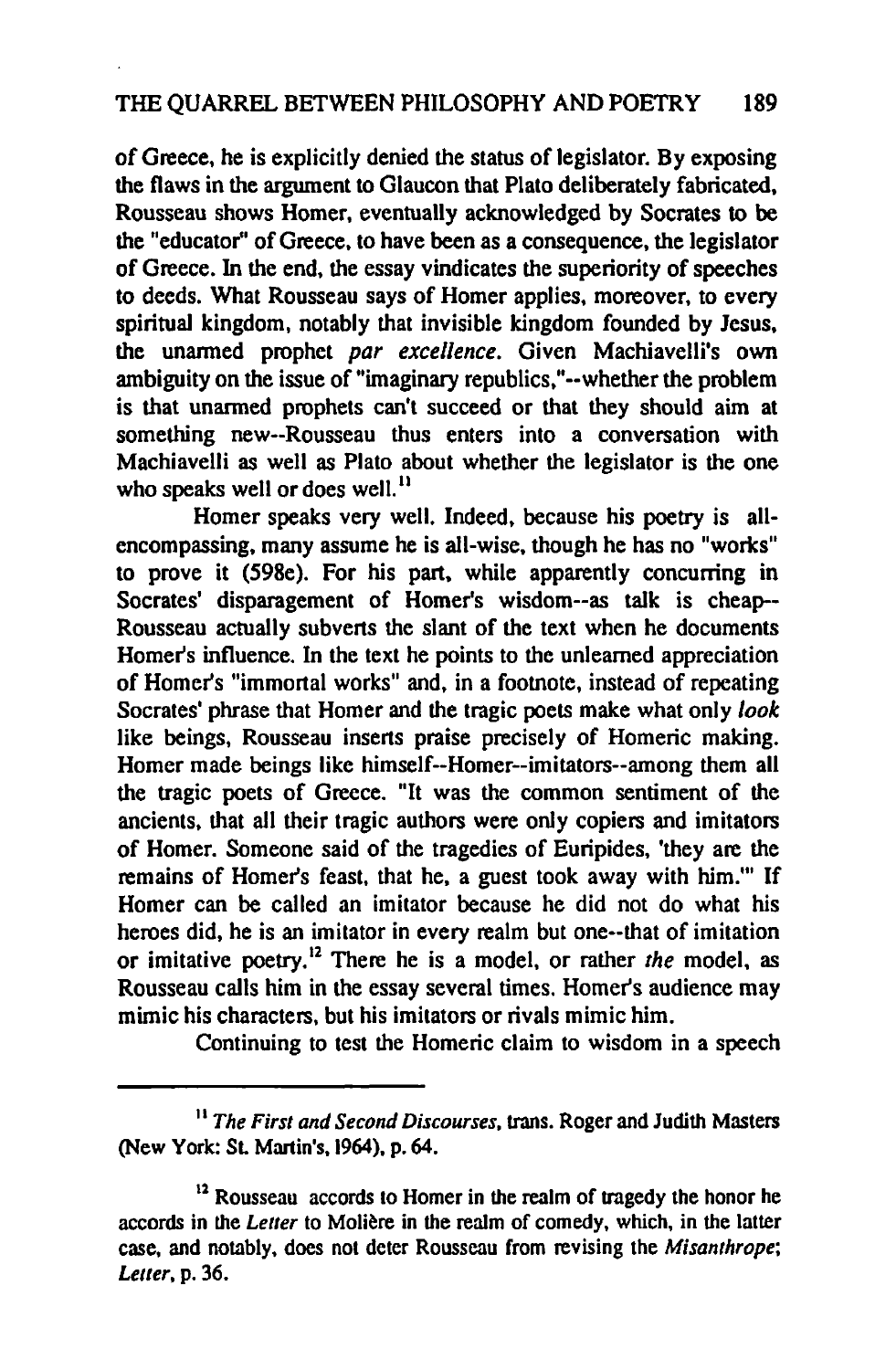of Greece, he is explicitly denied the starus of legislator. By exposing the flaws in the argument 10 Glaucon that Plato deliberately fabricated, Rousseau shows Homer, eventually acknowledged by Socrates 10 be the "educator" of Greece, to have been as a consequence, the legislator of Greece. In the end, the essay vindicates the superiority of speeches to deeds. What Rousseau says of Homer applies, moreover, to every spiritual kingdom, notably that invisible kingdom founded by Jesus, the unanned pmphet *par excellence.* Given Machiavelli's own ambiguity on the issue of "imaginary republics,"--whether the problem is that unanned pmphets can't succeed or that they should aim at something new--Rousseau thus enters into a conversation with Machiavelli as well as Plato about whether the legislator is the one who speaks well or does well.<sup>11</sup>

Homer speaks very weil. Indeed, because his poetry is allencompassing, many assume he is alI-wise, though he has no "works" to prove it (598e). For his part, while apparently eoncurring in Socrates' disparagement of Homer's wisdom--as talk is cheap-- Rousseau actually subvens the slant of the text when he documents Homer's influence. In the text he points to the unleamed appreciation of Homer's "immortal works" and, in a footnote, instead of repeating Socrates' phrase that Homer and the tragic poets make what only *look*  like beings, Rousseau inserts praise precisely of Homeric making. Homer made beings like himself--Homer--imitators--among them ail the tragie poets of Greeee. "It was the common sentiment of the ancients, that ail their tragic authors were only copiers and imitators of Homer. Someone said of the tragedies of Euripides, 'they are the remains of Homer's feast, that he, a guest took away with him.''' If Homer can be called an imitator because he did not do what his heroes did, he is an imitator in every realm but one--that of imitation or imitative poetry.12 There he is a model, or rather *the* model, as Rousseau calls him in the essay several times. Homer's audience may mimic his characters, but his imitators or rivals mimic him.

Continuing to test the Homeric claim to wisdom in a speech

<sup>11</sup>*The First and Second Discourses,* trans. Roger and Judith Masters (New York: SL Martin's, 1964), p. 64.

 $12$  Rousseau accords to Homer in the realm of tragedy the honor he accords in the *Letter* 10 Molière in the realm of comedy, which, in the lalter case, and notably, does not deter Rousseau from revising the *Misanthrope*; *Letter,* p. 36.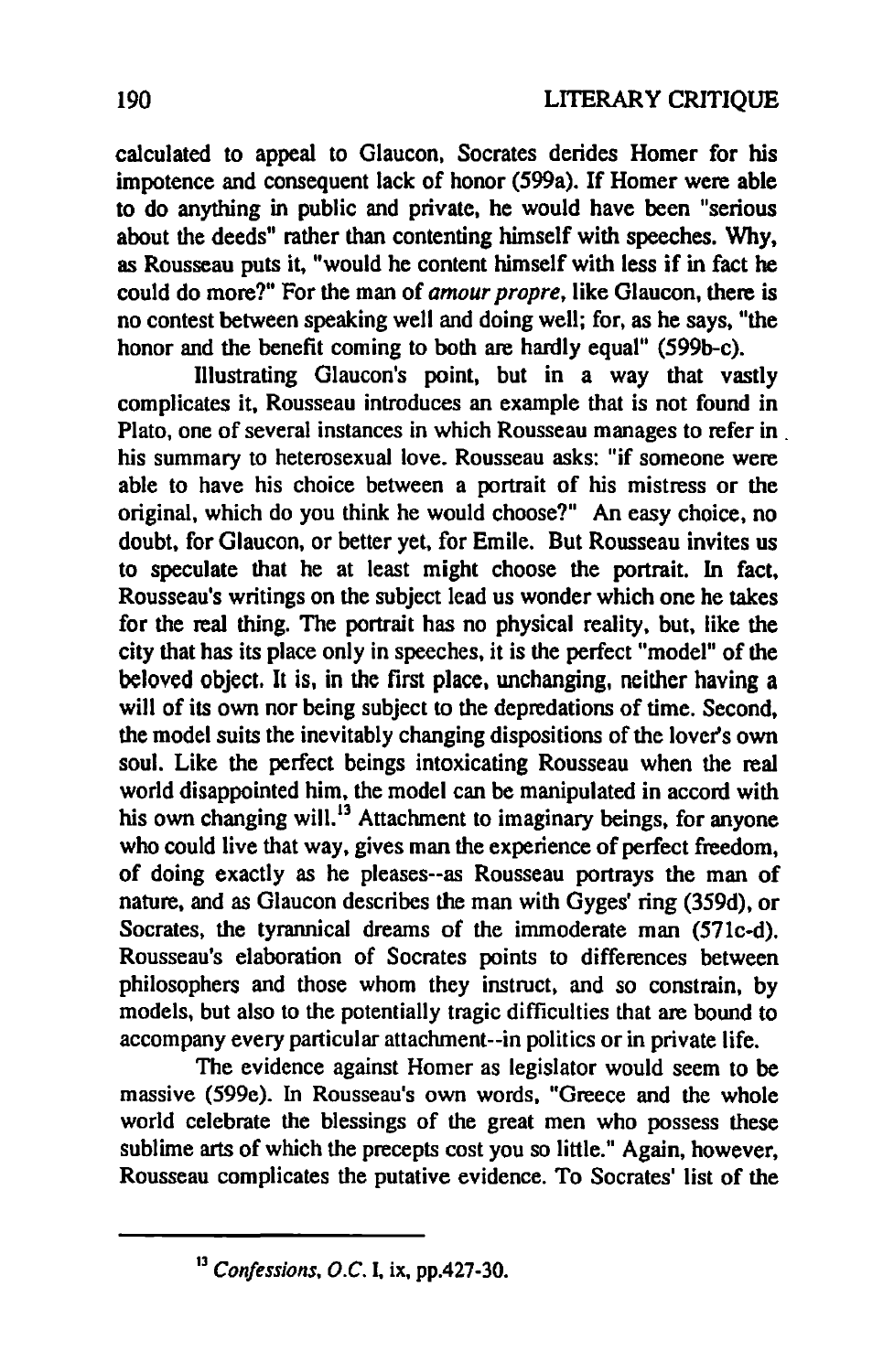calculated to appeal to Glaucon, Socrates derides Homer for bis impotence and consequent lack of honor (599a). If Homer were able to do anything in public and private, he would have been "serious about the deeds" rather than contenting himself with speeches. Why, as Rousseau puts it, "would he content himself with less if in fact he could do more?" For the man of *amour propre,* like Glaucon, there is no contest between speaking weil and doing weil; for, as he says, "the honor and the benefit coming to both are hardly equal" (599b-c).

Illustrating Glaucon's point, but in a way that vastly complicates it. Rousseau introduces an example that is not found in Plato, one of several instances in which Rousseau manages to refer in . bis summary to heterosexual love. Rousseau asks: "if someone were able to have his choice between a portrait of his mistress or the original, which do you think he would choose?" An easy choice, no doubt, for Glaucon, or better yet, for Emile. But Rousseau invites us to speculate that he at least might choose the portrait. In fact, Rousseau's writings on the subject lead us wonder which one he takes for the real thing. The portrait has no physical reality. but. like the city that has its place only in speeches, it is the perfect "model" of the beloved object. It is, in the first place, unchanging, neither having a will of its own nor being subject to the depredations of time. Second. the model suits the inevitably changing dispositions of the lover's own sou1. Like the perfect beings intoxicating Rousseau when the real world disappointed him. the model can be manipulated in accord with his own changing will.<sup>13</sup> Attachment to imaginary beings, for anyone who could live that way. gives man the experience of perfect freedom, of doing exactly as he pleases--as Rousseau portrays the man of nature. and as Glaucon describes the man with Gyges' ring (359d), or Socrates. the tyrannical dreams of the immoderate man (571c-d). Rousseau's elaboration of Socrates points to differences between philosophers and those whom they instruct, and so constrain, by models, but also to the potentially tragic difficulties that are bound to accompany every particular attachment--in politics or in private life.

The evidence against Homer as legislator would seem to he massive (59ge). In Rousseau's own words. "Greece and the whole world celebrate the blessings of the great men who possess these sublime arts of which the precepts cost you so little." Again, however, Rousseau complicates the putative evidence. To Socrates' list of the

<sup>&</sup>lt;sup>13</sup> Confessions, O.C. I, ix, pp.427-30.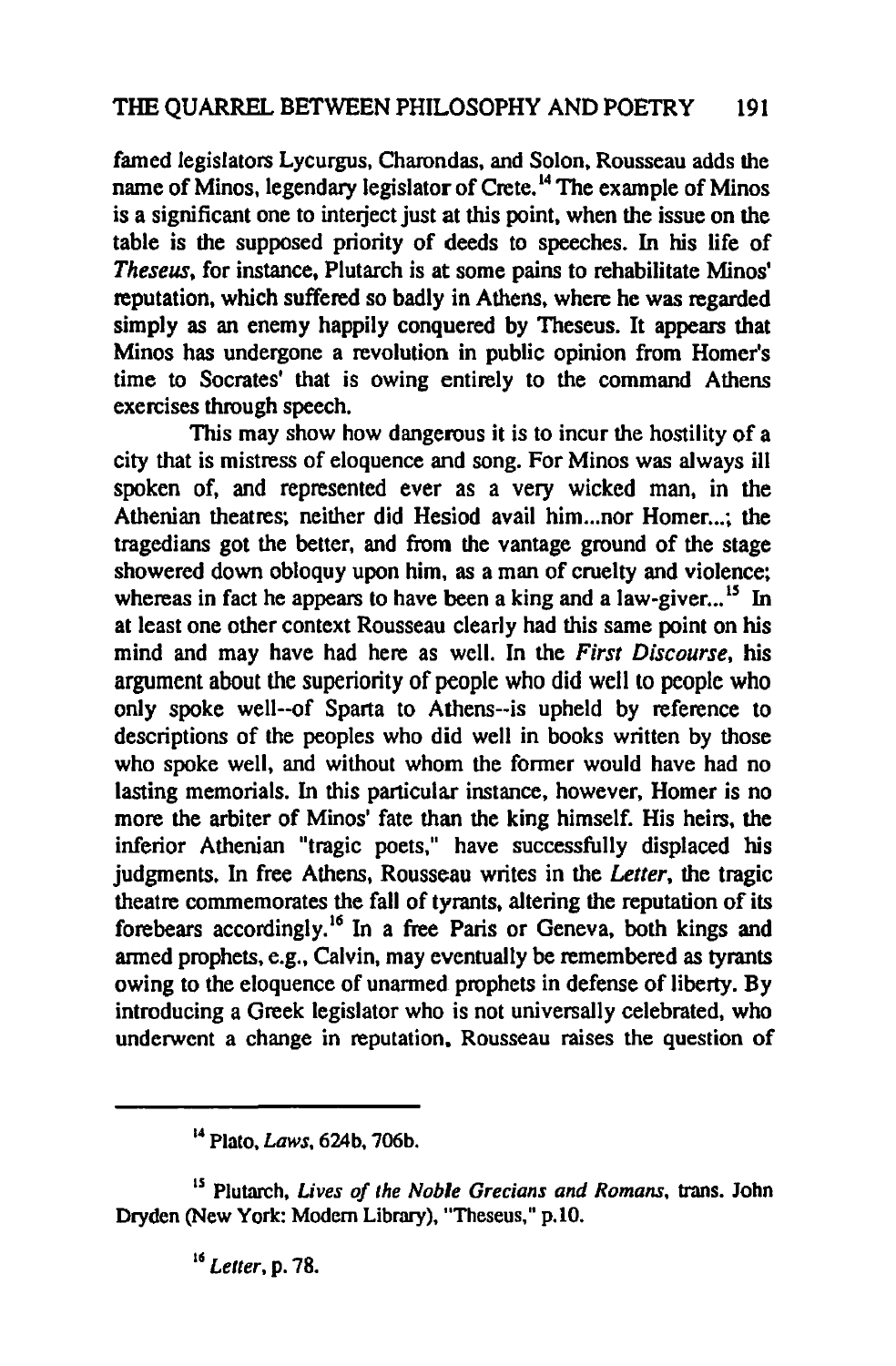famed legislators Lycurgus, Charondas, and Solon, Rousseau adds the name of Minos, legendary legislator of Crete.<sup>14</sup> The example of Minos is a significant one to interject just at this point, when the issue on the table is the supposed priority of deeds to speeches. In his life of *Theseus*, for instance. Plutarch is at some pains to rehabilitate Minos' reputation, which suffered so badly in Athens, where he was regarded simply as an enemy happily conquered by Theseus. It appears that Minos has undergone a revolution in public opinion from Homer's time to Socrates' that is owing entirely to the command Athens exercises through speech.

This may show how dangerous it is to incur the hostility of a city that is mistress of eloquence and song. For Minos was always iII spoken of, and represented ever as a very wicked man, in the Athenian theatres; neither did Hesiod avail him ... nor Homer ...: the tragedians got the better, and from the vantage ground of the stage showered down obloquy upon him, as a man of cruelty and violence; whereas in fact he appears to have been a king and a law-giver...<sup>15</sup> In at least one other context Rousseau clearly had this same point on his mind and may have had here as well. In the *First Discourse*, his argument about the superiority of people who did weil to people who only spoke well--of Sparta to Athens--is upheld by reference to descriptions of the peoples who did well in books written by those who spoke well, and without whom the former would have had no lasting memorials. In this particular instance, however, Homer is no more the arbiter of Minos' fate than the king himself. His heirs. the inferior Athenian "tragic poets," have successfully displaced his judgments. In free Athens. Rousseau writes in the *Letter.* the tragic theatre commemorates the fall of tyrants, altering the reputation of its forebears accordingly.<sup>16</sup> In a free Paris or Geneva, both kings and armed prophets. e.g., Calvin, may eventually be remembered as tyrants owing to the eloquence of unarmed prophets in defense of liberty. By introducing a Greek legislator who is not universally celebrated, who underwent a change in reputation. Rousseau raises the question of

<sup>14</sup> Plato, *Laws,* 624b, 706b.

<sup>&</sup>lt;sup>15</sup> Plutarch, *Lives of the Noble Grecians and Romans*, trans. John Dryden (New York: Modem Library), "Theseus," p.lO.

<sup>&</sup>lt;sup>16</sup> Letter, p. 78.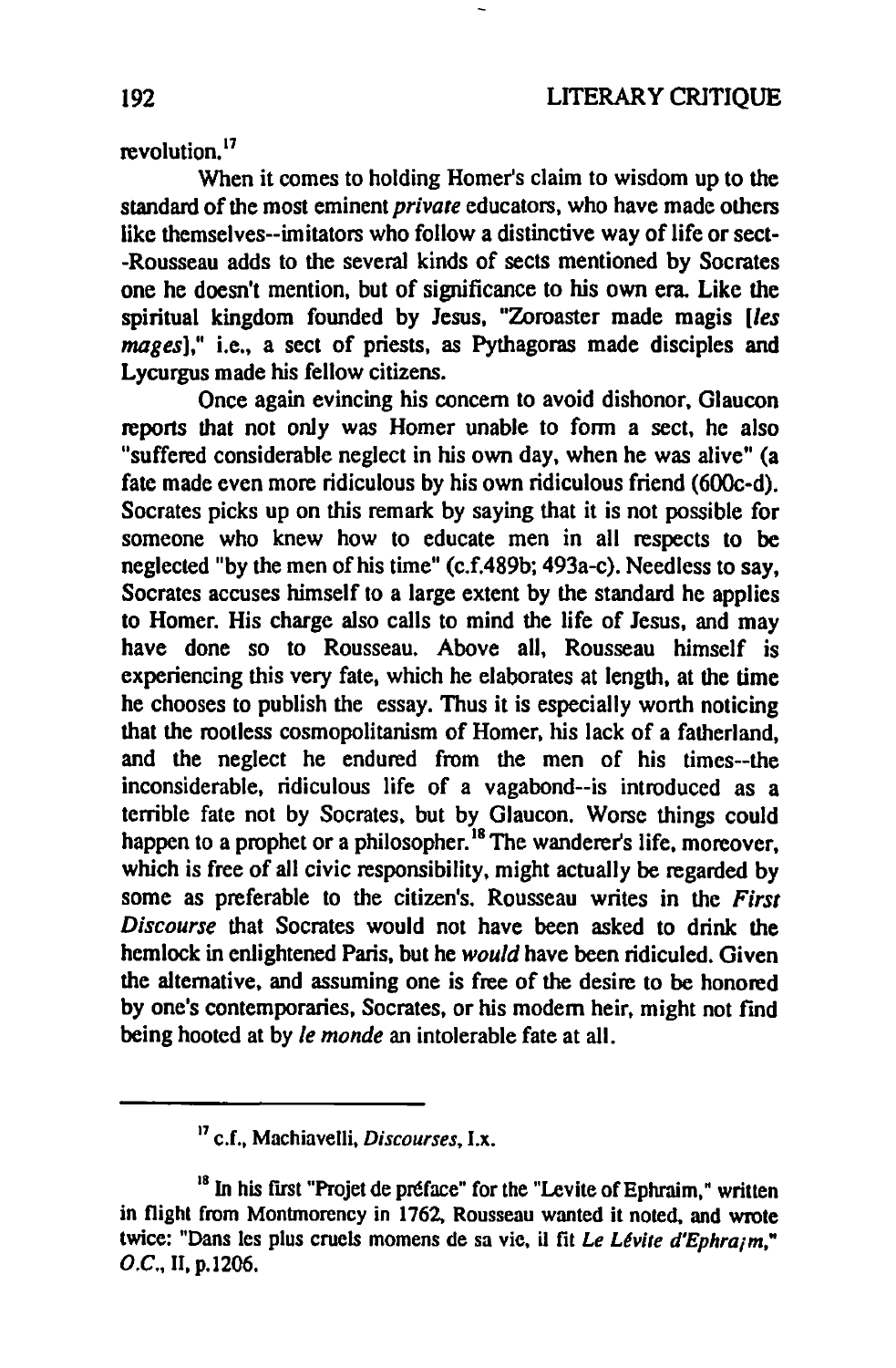#### revolution.<sup>17</sup>

When it comes to holding Homer's claim to wisdom up to the standard of the most eminent *private* educators, who have made others like themselves--imitators who follow a distinctive way of life or sect--Rousseau adds to the several kinds of sects mentioned by Socrates one he doesn't mention, but of significance to his own era. Like the spiritual kingdom founded by Jesus, "Zoroaster made magis *[les mages*]," i.e., a sect of priests, as Pythagoras made disciples and Lycurgus made bis fellow citizens.

Once again evincing bis concem to avoid dishonor, G1aucon reports that not only was Homer unable to form a sect, he also "suffered considerable neglect in his own day, when he was alive" (a fate made even more ridiculous by his own ridiculous friend (600c-d). Socrates picks up on this remark by saying that it is not possible for someone who knew how to educate men in all respects to be neglected "by the men of his time" (c.f.489b; 493a-c). Needless to say, Socrates accuses himself to a large extent by the standard he applies to Homer. His charge also calls to mind the life of Jesus, and may have done so to Rousseau. Above all, Rousseau himself is experiencing this very fate, which he elaborates at length, at the time he chooses to publish the essay. Thus it is especially worth noticing that the rootless cosmopolitanism of Homer, bis lack of a fatherland, and the neglect he endured from the men of his times--the inconsiderable, ridiculous Iife of a vagabond--is introduced as a lerrible fate not by Socrates. but by G1aucon. Worse things could happen to a prophet or a philosopher.<sup>18</sup> The wanderer's life, moreover, which is free of all civic responsibility, might actually be regarded by some as preferable to the citizen's. Rousseau writes in the *First* Discourse that Socrates would not have been asked to drink the hemlock in enlightened Paris, but he *would* have been ridiculed. Given the alternative, and assuming one is free of the desire to be honored by one's contemporaries, Socrates, or his modern heir, might not find being hooted at by *le monde* an intolerable fate at all.

<sup>&</sup>lt;sup>17</sup> c.f., Machiavelli, *Discourses*, I.x.

<sup>&</sup>lt;sup>18</sup> In his first "Projet de préface" for the "Levite of Ephraim," written in flight from Montmorency in 1762, Rousseau wanted it noted, and wrote twice: "Dans les plus cruels momens de sa vie, il fit *Le Lévite d'Ephraim*," O.C., II, p.1206.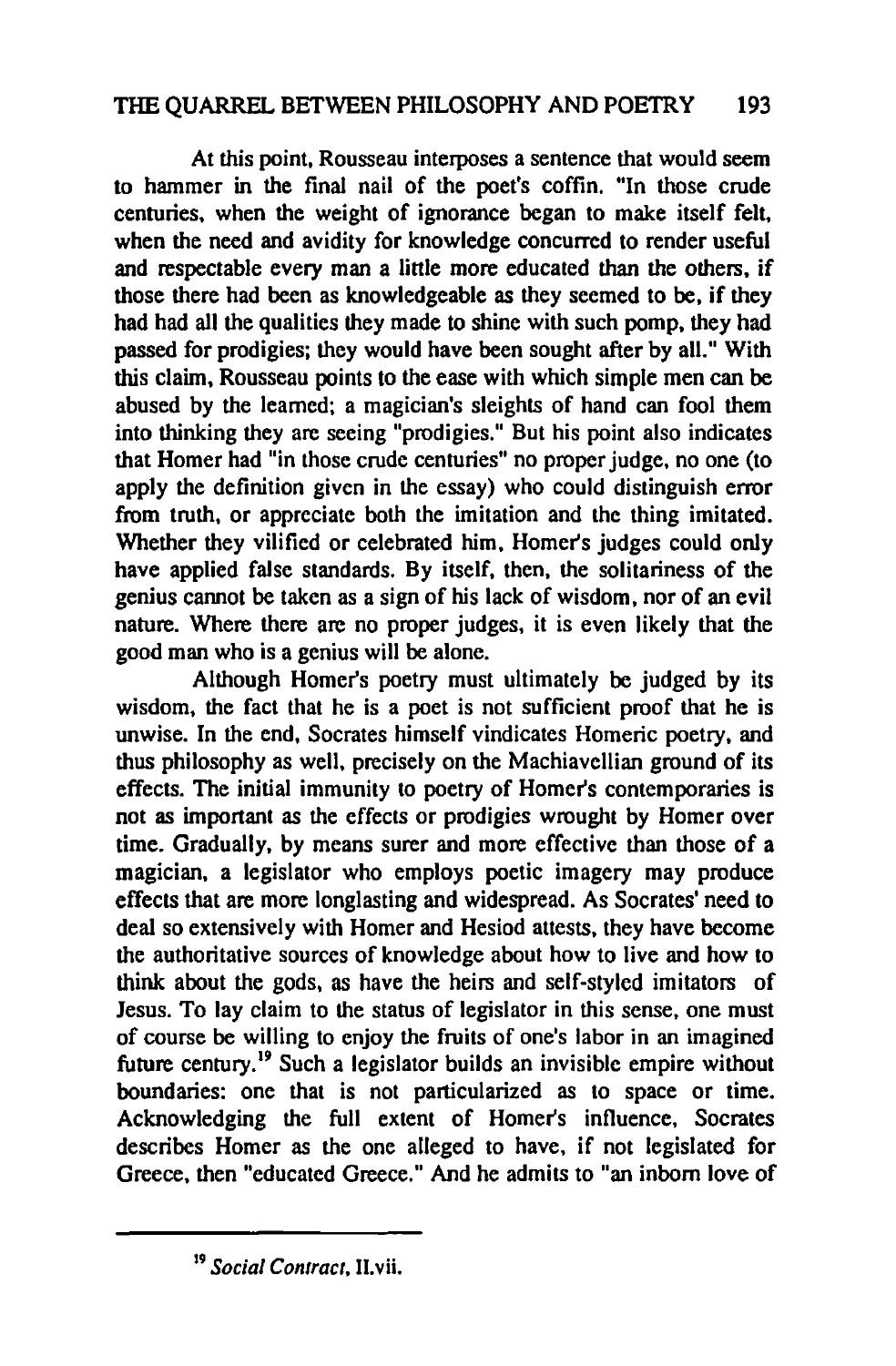#### THE QUARREL BETWEEN PHILOSOPHY AND POETRY 193

At this point, Rousseau interposes a sentence that would seem to hammer in the final nail of the poet's coffin. "In those crude centuries, when the weight of ignorance began to make itself felt, when the need and avidity for knowledge concurred to render useful and respectable every man a little more educated than the others, if those there had been as knowledgeable as they seemed to be, if they had had all the qualities they made to shine with such pomp. they had passed for prodigies; they would have been sought after by aiL" With this claim. Rousseau points to the ease with which simple men can be abused by the leamed; a magician's sleights of hand can fool them into thinking they are seeing "prodigies." But his point also indicates that Homer had "in those crude centuries" no proper judge, no one (to apply the definition given in the essay) who could distinguish error from troth, or appreciate both the imitation and the thing imitated. Whether they vilified or celebrated him, Homer's judges could only have applied false standards. By itself, then, the solitariness of the genius cannot be taken as a sign of his lack of wisdom, nor of an evil nature. Where there are no proper judges, it is even likely that the good man who is a genius will be alone.

Although Homer's poetry must ultimately be judged by its wisdom, the fact that he is a poet is not sufficient proof that he is unwise. In the end, Socrates himself vindicates Homeric poetry, and thus philosophy as weil, precisely on the Machiavellian ground of its effects. The initial immunity to poetry of Homer's contemporaries is not as important as the effeets or prodigies wrought by Homer over time. Gradually, by means surer and more effective than those of a magician, a legislator who employs poetic imagery may produce effecls that are more longlasting and widespread. As Socrates' need to deal so extensively with Homer and Hesiod attests, they have become the authoritative sources of knowledge about how to live and how to think about the gods, as have the heirs and self-styled imitators of Jesus. To lay claim 10 the status of legislator in this sense, one must of course be willing to enjoy the fruits of one's labor in an imagined future century.<sup>19</sup> Such a legislator builds an invisible empire without boundaries: one that is not particularized as to space or time. Acknowledging the full extent of Homer's influence, Socrates describes Homer as the one alleged 10 have, if not legislated for Greece, then "educated Greeee." And he admits to "an inbom love of

<sup>&</sup>lt;sup>19</sup> Social Contract, II.vii.